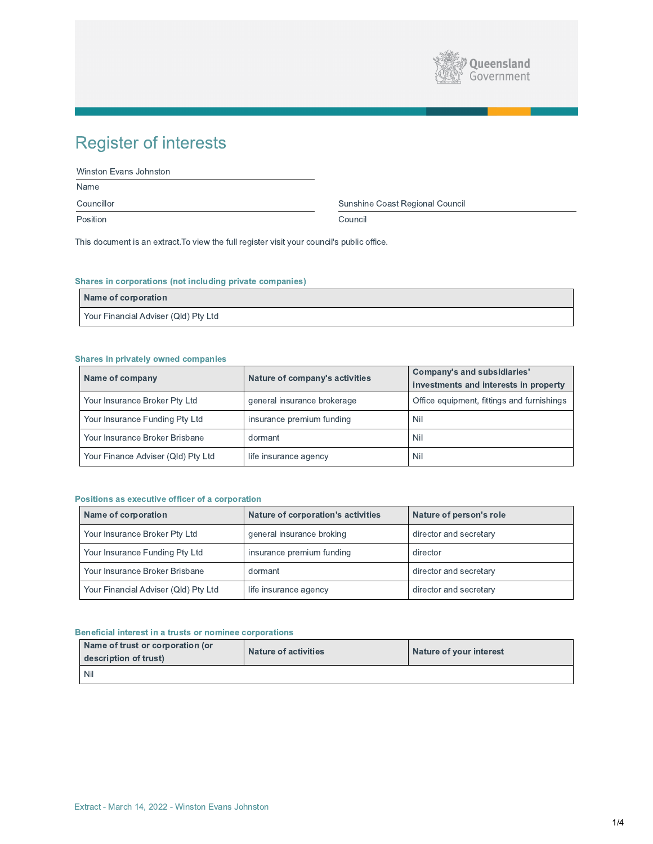

# **Register of interests**

Winston Evans Johnston

Name

Councillor

Position

Sunshine Coast Regional Council

Council

This document is an extract. To view the full register visit your council's public office.

# Shares in corporations (not including private companies)

| Name of corporation                  |  |
|--------------------------------------|--|
| Your Financial Adviser (Qld) Pty Ltd |  |

# **Shares in privately owned companies**

| Name of company                    | Nature of company's activities | <b>Company's and subsidiaries'</b><br>investments and interests in property |
|------------------------------------|--------------------------------|-----------------------------------------------------------------------------|
| Your Insurance Broker Pty Ltd      | general insurance brokerage    | Office equipment, fittings and furnishings                                  |
| Your Insurance Funding Pty Ltd     | insurance premium funding      | Nil                                                                         |
| Your Insurance Broker Brisbane     | dormant                        | Nil                                                                         |
| Your Finance Adviser (Qld) Pty Ltd | life insurance agency          | Nil                                                                         |

## Positions as executive officer of a corporation

| Name of corporation                  | Nature of corporation's activities | Nature of person's role |
|--------------------------------------|------------------------------------|-------------------------|
| Your Insurance Broker Pty Ltd        | general insurance broking          | director and secretary  |
| Your Insurance Funding Pty Ltd       | insurance premium funding          | director                |
| Your Insurance Broker Brisbane       | dormant                            | director and secretary  |
| Your Financial Adviser (Qld) Pty Ltd | life insurance agency              | director and secretary  |

# Beneficial interest in a trusts or nominee corporations

| Name of trust or corporation (or<br>description of trust) | Nature of activities | Nature of your interest |
|-----------------------------------------------------------|----------------------|-------------------------|
| Nil                                                       |                      |                         |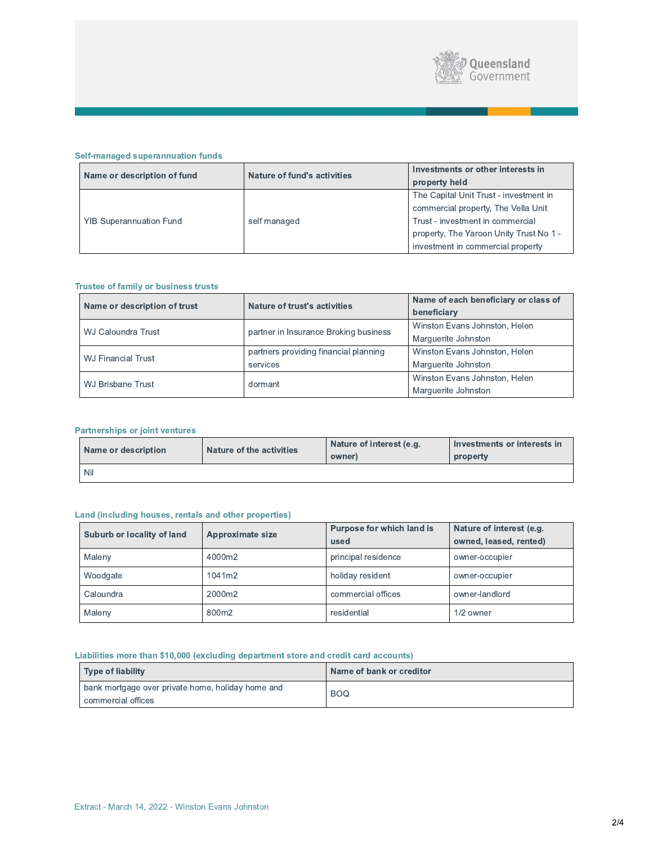

#### **Self-managed superannuation funds**

| Name or description of fund    | Nature of fund's activities | Investments or other interests in       |
|--------------------------------|-----------------------------|-----------------------------------------|
|                                |                             | property held                           |
|                                |                             | The Capital Unit Trust - investment in  |
|                                | self managed                | commercial property, The Vella Unit     |
| <b>YIB Superannuation Fund</b> |                             | Trust - investment in commercial        |
|                                |                             | property, The Yaroon Unity Trust No 1 - |
|                                |                             | investment in commercial property       |

#### Trustee of family or business trusts

| Name or description of trust | Nature of trust's activities          | Name of each beneficiary or class of |
|------------------------------|---------------------------------------|--------------------------------------|
|                              |                                       | beneficiary                          |
| WJ Caloundra Trust           | partner in Insurance Broking business | Winston Evans Johnston, Helen        |
|                              |                                       | Marguerite Johnston                  |
| <b>WJ Financial Trust</b>    | partners providing financial planning | Winston Evans Johnston, Helen        |
|                              | services                              | Marquerite Johnston                  |
| <b>WJ Brisbane Trust</b>     | dormant                               | Winston Evans Johnston, Helen        |
|                              |                                       | Marguerite Johnston                  |

# **Partnerships or joint ventures**

| Name or description | Nature of the activities | Nature of interest (e.g. | Investments or interests in |
|---------------------|--------------------------|--------------------------|-----------------------------|
|                     |                          | owner)                   | property                    |
| - Nil               |                          |                          |                             |

# Land (including houses, rentals and other properties)

| Suburb or locality of land | <b>Approximate size</b> | Purpose for which land is<br>used | Nature of interest (e.g.<br>owned, leased, rented) |
|----------------------------|-------------------------|-----------------------------------|----------------------------------------------------|
| Maleny                     | 4000m2                  | principal residence               | owner-occupier                                     |
| Woodgate                   | 1041m2                  | holiday resident                  | owner-occupier                                     |
| Caloundra                  | 2000m2                  | commercial offices                | owner-landlord                                     |
| Maleny                     | 800m2                   | residential                       | 1/2 owner                                          |

# Liabilities more than \$10,000 (excluding department store and credit card accounts)

| Type of liability                                                       | Name of bank or creditor |
|-------------------------------------------------------------------------|--------------------------|
| bank mortgage over private home, holiday home and<br>commercial offices | <b>BOQ</b>               |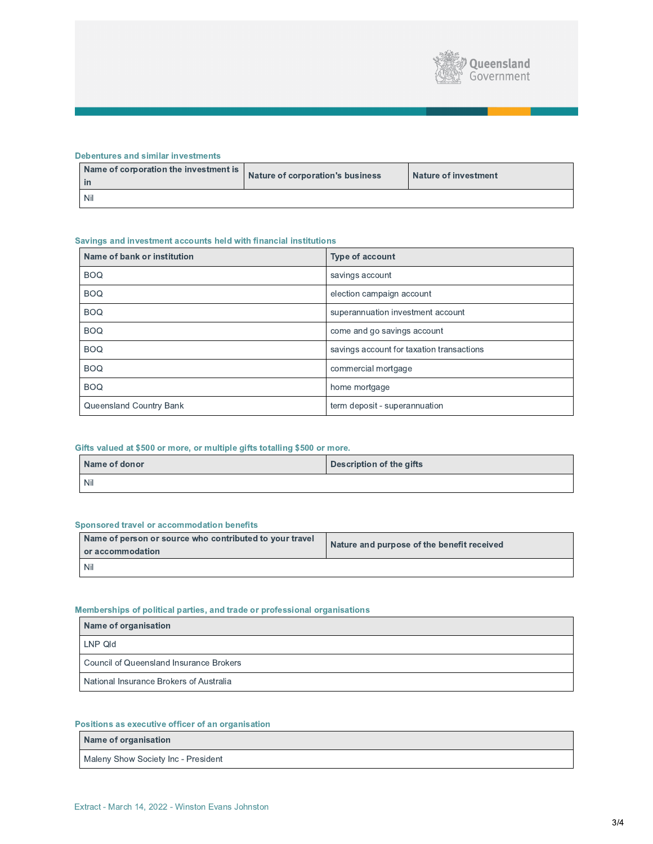

### **Debentures and similar investments**

| Name of corporation the investment is | Nature of corporation's business | <b>Nature of investment</b> |
|---------------------------------------|----------------------------------|-----------------------------|
| <b>Nil</b>                            |                                  |                             |

# Savings and investment accounts held with financial institutions

| Name of bank or institution | <b>Type of account</b>                    |
|-----------------------------|-------------------------------------------|
| <b>BOQ</b>                  | savings account                           |
| <b>BOQ</b>                  | election campaign account                 |
| <b>BOQ</b>                  | superannuation investment account         |
| <b>BOQ</b>                  | come and go savings account               |
| <b>BOQ</b>                  | savings account for taxation transactions |
| <b>BOQ</b>                  | commercial mortgage                       |
| <b>BOQ</b>                  | home mortgage                             |
| Queensland Country Bank     | term deposit - superannuation             |

# Gifts valued at \$500 or more, or multiple gifts totalling \$500 or more.

| Name of donor | Description of the gifts |
|---------------|--------------------------|
| Nil           |                          |

#### **Sponsored travel or accommodation benefits**

| Name of person or source who contributed to your travel<br>or accommodation | Nature and purpose of the benefit received |
|-----------------------------------------------------------------------------|--------------------------------------------|
| <b>Nil</b>                                                                  |                                            |

#### Memberships of political parties, and trade or professional organisations

| Name of organisation                    |
|-----------------------------------------|
| LNP Qld                                 |
| Council of Queensland Insurance Brokers |
| National Insurance Brokers of Australia |

# Positions as executive officer of an organisation

Name of organisation

Maleny Show Society Inc - President